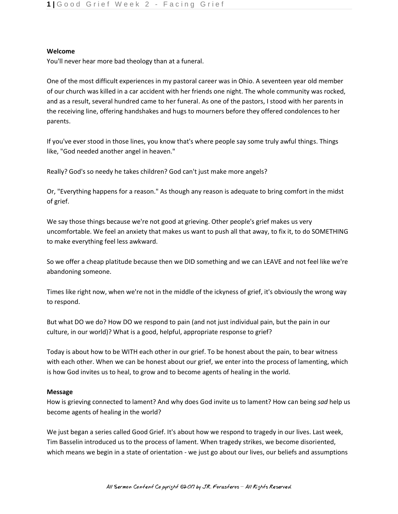## **Welcome**

You'll never hear more bad theology than at a funeral.

One of the most difficult experiences in my pastoral career was in Ohio. A seventeen year old member of our church was killed in a car accident with her friends one night. The whole community was rocked, and as a result, several hundred came to her funeral. As one of the pastors, I stood with her parents in the receiving line, offering handshakes and hugs to mourners before they offered condolences to her parents.

If you've ever stood in those lines, you know that's where people say some truly awful things. Things like, "God needed another angel in heaven."

Really? God's so needy he takes children? God can't just make more angels?

Or, "Everything happens for a reason." As though any reason is adequate to bring comfort in the midst of grief.

We say those things because we're not good at grieving. Other people's grief makes us very uncomfortable. We feel an anxiety that makes us want to push all that away, to fix it, to do SOMETHING to make everything feel less awkward.

So we offer a cheap platitude because then we DID something and we can LEAVE and not feel like we're abandoning someone.

Times like right now, when we're not in the middle of the ickyness of grief, it's obviously the wrong way to respond.

But what DO we do? How DO we respond to pain (and not just individual pain, but the pain in our culture, in our world)? What is a good, helpful, appropriate response to grief?

Today is about how to be WITH each other in our grief. To be honest about the pain, to bear witness with each other. When we can be honest about our grief, we enter into the process of lamenting, which is how God invites us to heal, to grow and to become agents of healing in the world.

### **Message**

How is grieving connected to lament? And why does God invite us to lament? How can being *sad* help us become agents of healing in the world?

We just began a series called Good Grief. It's about how we respond to tragedy in our lives. Last week, Tim Basselin introduced us to the process of lament. When tragedy strikes, we become disoriented, which means we begin in a state of orientation - we just go about our lives, our beliefs and assumptions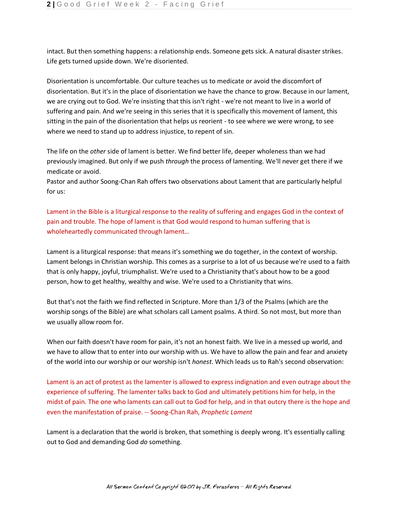intact. But then something happens: a relationship ends. Someone gets sick. A natural disaster strikes. Life gets turned upside down. We're disoriented.

Disorientation is uncomfortable. Our culture teaches us to medicate or avoid the discomfort of disorientation. But it's in the place of disorientation we have the chance to grow. Because in our lament, we are crying out to God. We're insisting that this isn't right - we're not meant to live in a world of suffering and pain. And we're seeing in this series that it is specifically this movement of lament, this sitting in the pain of the disorientation that helps us reorient - to see where we were wrong, to see where we need to stand up to address injustice, to repent of sin.

The life on the *other* side of lament is better. We find better life, deeper wholeness than we had previously imagined. But only if we push *through* the process of lamenting. We'll never get there if we medicate or avoid.

Pastor and author Soong-Chan Rah offers two observations about Lament that are particularly helpful for us:

Lament in the Bible is a liturgical response to the reality of suffering and engages God in the context of pain and trouble. The hope of lament is that God would respond to human suffering that is wholeheartedly communicated through lament…

Lament is a liturgical response: that means it's something we do together, in the context of worship. Lament belongs in Christian worship. This comes as a surprise to a lot of us because we're used to a faith that is only happy, joyful, triumphalist. We're used to a Christianity that's about how to be a good person, how to get healthy, wealthy and wise. We're used to a Christianity that wins.

But that's not the faith we find reflected in Scripture. More than 1/3 of the Psalms (which are the worship songs of the Bible) are what scholars call Lament psalms. A third. So not most, but more than we usually allow room for.

When our faith doesn't have room for pain, it's not an honest faith. We live in a messed up world, and we have to allow that to enter into our worship with us. We have to allow the pain and fear and anxiety of the world into our worship or our worship isn't *honest*. Which leads us to Rah's second observation:

Lament is an act of protest as the lamenter is allowed to express indignation and even outrage about the experience of suffering. The lamenter talks back to God and ultimately petitions him for help, in the midst of pain. The one who laments can call out to God for help, and in that outcry there is the hope and even the manifestation of praise. -- Soong-Chan Rah, *Prophetic Lament*

Lament is a declaration that the world is broken, that something is deeply wrong. It's essentially calling out to God and demanding God *do* something.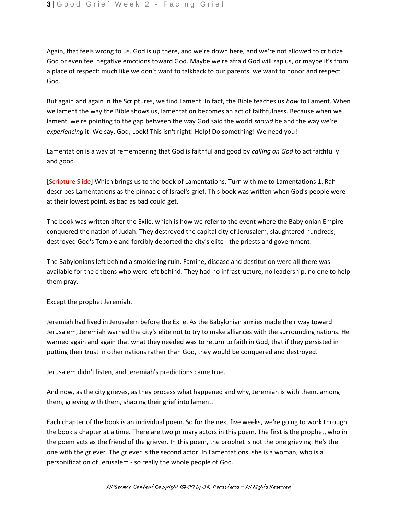Again, that feels wrong to us. God is up there, and we're down here, and we're not allowed to criticize God or even feel negative emotions toward God. Maybe we're afraid God will zap us, or maybe it's from a place of respect: much like we don't want to talkback to our parents, we want to honor and respect God.

But again and again in the Scriptures, we find Lament. In fact, the Bible teaches us *how* to Lament. When we lament the way the Bible shows us, lamentation becomes an act of faithfulness. Because when we lament, we're pointing to the gap between the way God said the world *should* be and the way we're *experiencing* it. We say, God, Look! This isn't right! Help! Do something! We need you!

Lamentation is a way of remembering that God is faithful and good by *calling on God* to act faithfully and good.

[Scripture Slide] Which brings us to the book of Lamentations. Turn with me to Lamentations 1. Rah describes Lamentations as the pinnacle of Israel's grief. This book was written when God's people were at their lowest point, as bad as bad could get.

The book was written after the Exile, which is how we refer to the event where the Babylonian Empire conquered the nation of Judah. They destroyed the capital city of Jerusalem, slaughtered hundreds, destroyed God's Temple and forcibly deported the city's elite - the priests and government.

The Babylonians left behind a smoldering ruin. Famine, disease and destitution were all there was available for the citizens who were left behind. They had no infrastructure, no leadership, no one to help them pray.

Except the prophet Jeremiah.

Jeremiah had lived in Jerusalem before the Exile. As the Babylonian armies made their way toward Jerusalem, Jeremiah warned the city's elite not to try to make alliances with the surrounding nations. He warned again and again that what they needed was to return to faith in God, that if they persisted in putting their trust in other nations rather than God, they would be conquered and destroyed.

Jerusalem didn't listen, and Jeremiah's predictions came true.

And now, as the city grieves, as they process what happened and why, Jeremiah is with them, among them, grieving with them, shaping their grief into lament.

Each chapter of the book is an individual poem. So for the next five weeks, we're going to work through the book a chapter at a time. There are two primary actors in this poem. The first is the prophet, who in the poem acts as the friend of the griever. In this poem, the prophet is not the one grieving. He's the one with the griever. The griever is the second actor. In Lamentations, she is a woman, who is a personification of Jerusalem - so really the whole people of God.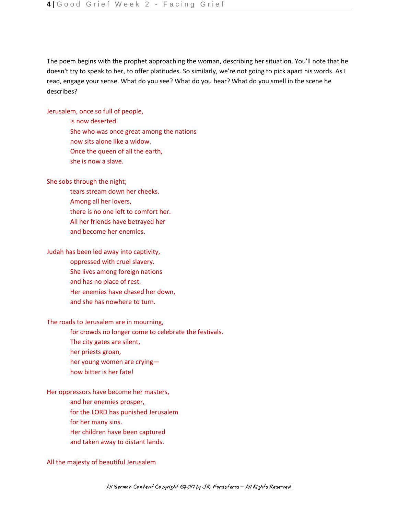The poem begins with the prophet approaching the woman, describing her situation. You'll note that he doesn't try to speak to her, to offer platitudes. So similarly, we're not going to pick apart his words. As I read, engage your sense. What do you see? What do you hear? What do you smell in the scene he describes?

Jerusalem, once so full of people,

 is now deserted. She who was once great among the nations now sits alone like a widow. Once the queen of all the earth, she is now a slave.

She sobs through the night;

 tears stream down her cheeks. Among all her lovers, there is no one left to comfort her. All her friends have betrayed her and become her enemies.

Judah has been led away into captivity,

- oppressed with cruel slavery.
- She lives among foreign nations
- and has no place of rest.
- Her enemies have chased her down,
- and she has nowhere to turn.

### The roads to Jerusalem are in mourning,

- for crowds no longer come to celebrate the festivals.
- The city gates are silent,
- her priests groan,
- her young women are crying—
- how bitter is her fate!

## Her oppressors have become her masters,

- and her enemies prosper,
- for the LORD has punished Jerusalem
- for her many sins.
- Her children have been captured
- and taken away to distant lands.

### All the majesty of beautiful Jerusalem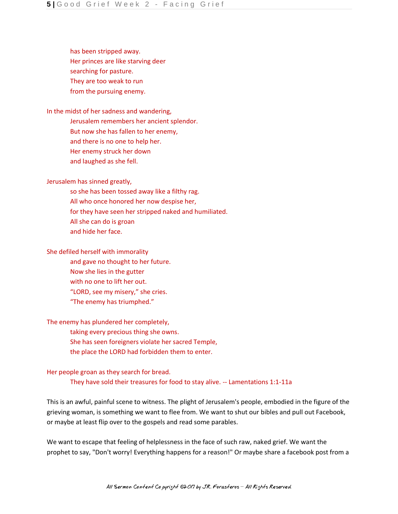has been stripped away. Her princes are like starving deer searching for pasture. They are too weak to run from the pursuing enemy.

In the midst of her sadness and wandering,

 Jerusalem remembers her ancient splendor. But now she has fallen to her enemy, and there is no one to help her. Her enemy struck her down and laughed as she fell.

Jerusalem has sinned greatly,

 so she has been tossed away like a filthy rag. All who once honored her now despise her, for they have seen her stripped naked and humiliated. All she can do is groan and hide her face.

She defiled herself with immorality

 and gave no thought to her future. Now she lies in the gutter with no one to lift her out. "LORD, see my misery," she cries. "The enemy has triumphed."

The enemy has plundered her completely,

 taking every precious thing she owns. She has seen foreigners violate her sacred Temple, the place the LORD had forbidden them to enter.

Her people groan as they search for bread. They have sold their treasures for food to stay alive. -- Lamentations 1:1-11a

This is an awful, painful scene to witness. The plight of Jerusalem's people, embodied in the figure of the grieving woman, is something we want to flee from. We want to shut our bibles and pull out Facebook, or maybe at least flip over to the gospels and read some parables.

We want to escape that feeling of helplessness in the face of such raw, naked grief. We want the prophet to say, "Don't worry! Everything happens for a reason!" Or maybe share a facebook post from a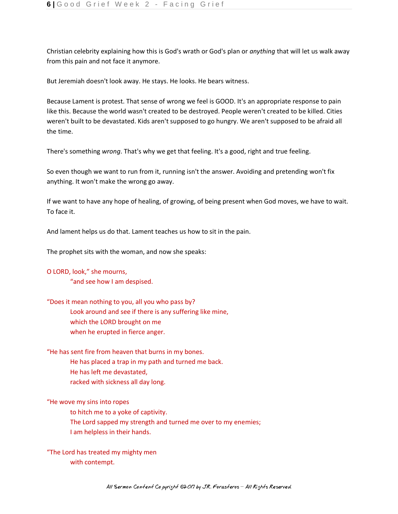Christian celebrity explaining how this is God's wrath or God's plan or *anything* that will let us walk away from this pain and not face it anymore.

But Jeremiah doesn't look away. He stays. He looks. He bears witness.

Because Lament is protest. That sense of wrong we feel is GOOD. It's an appropriate response to pain like this. Because the world wasn't created to be destroyed. People weren't created to be killed. Cities weren't built to be devastated. Kids aren't supposed to go hungry. We aren't supposed to be afraid all the time.

There's something *wrong*. That's why we get that feeling. It's a good, right and true feeling.

So even though we want to run from it, running isn't the answer. Avoiding and pretending won't fix anything. It won't make the wrong go away.

If we want to have any hope of healing, of growing, of being present when God moves, we have to wait. To face it.

And lament helps us do that. Lament teaches us how to sit in the pain.

The prophet sits with the woman, and now she speaks:

## O LORD, look," she mourns,

"and see how I am despised.

"Does it mean nothing to you, all you who pass by? Look around and see if there is any suffering like mine, which the LORD brought on me when he erupted in fierce anger.

"He has sent fire from heaven that burns in my bones. He has placed a trap in my path and turned me back. He has left me devastated,

racked with sickness all day long.

"He wove my sins into ropes

to hitch me to a yoke of captivity.

The Lord sapped my strength and turned me over to my enemies; I am helpless in their hands.

"The Lord has treated my mighty men with contempt.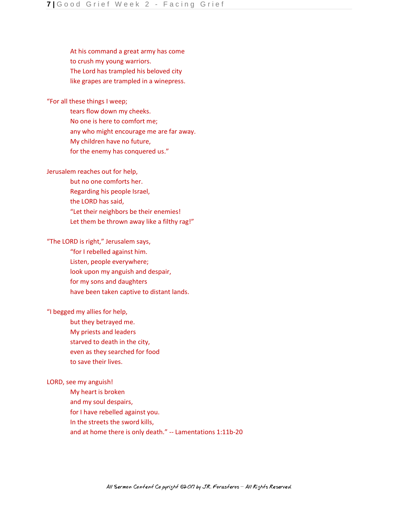At his command a great army has come to crush my young warriors. The Lord has trampled his beloved city like grapes are trampled in a winepress.

# "For all these things I weep;

 tears flow down my cheeks. No one is here to comfort me; any who might encourage me are far away. My children have no future, for the enemy has conquered us."

# Jerusalem reaches out for help,

 but no one comforts her. Regarding his people Israel, the LORD has said, "Let their neighbors be their enemies! Let them be thrown away like a filthy rag!"

# "The LORD is right," Jerusalem says,

 "for I rebelled against him. Listen, people everywhere; look upon my anguish and despair, for my sons and daughters have been taken captive to distant lands.

# "I begged my allies for help,

 but they betrayed me. My priests and leaders starved to death in the city, even as they searched for food to save their lives.

### LORD, see my anguish!

 My heart is broken and my soul despairs, for I have rebelled against you. In the streets the sword kills, and at home there is only death." -- Lamentations 1:11b-20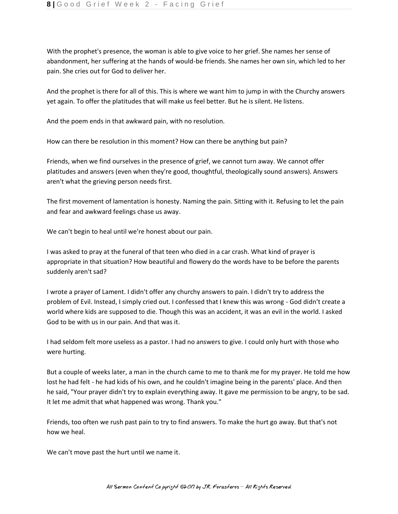With the prophet's presence, the woman is able to give voice to her grief. She names her sense of abandonment, her suffering at the hands of would-be friends. She names her own sin, which led to her pain. She cries out for God to deliver her.

And the prophet is there for all of this. This is where we want him to jump in with the Churchy answers yet again. To offer the platitudes that will make us feel better. But he is silent. He listens.

And the poem ends in that awkward pain, with no resolution.

How can there be resolution in this moment? How can there be anything but pain?

Friends, when we find ourselves in the presence of grief, we cannot turn away. We cannot offer platitudes and answers (even when they're good, thoughtful, theologically sound answers). Answers aren't what the grieving person needs first.

The first movement of lamentation is honesty. Naming the pain. Sitting with it. Refusing to let the pain and fear and awkward feelings chase us away.

We can't begin to heal until we're honest about our pain.

I was asked to pray at the funeral of that teen who died in a car crash. What kind of prayer is appropriate in that situation? How beautiful and flowery do the words have to be before the parents suddenly aren't sad?

I wrote a prayer of Lament. I didn't offer any churchy answers to pain. I didn't try to address the problem of Evil. Instead, I simply cried out. I confessed that I knew this was wrong - God didn't create a world where kids are supposed to die. Though this was an accident, it was an evil in the world. I asked God to be with us in our pain. And that was it.

I had seldom felt more useless as a pastor. I had no answers to give. I could only hurt with those who were hurting.

But a couple of weeks later, a man in the church came to me to thank me for my prayer. He told me how lost he had felt - he had kids of his own, and he couldn't imagine being in the parents' place. And then he said, "Your prayer didn't try to explain everything away. It gave me permission to be angry, to be sad. It let me admit that what happened was wrong. Thank you."

Friends, too often we rush past pain to try to find answers. To make the hurt go away. But that's not how we heal.

We can't move past the hurt until we name it.